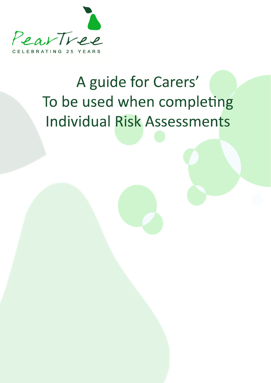

# A guide for Carers' To be used when completing **Individual Risk Assessments**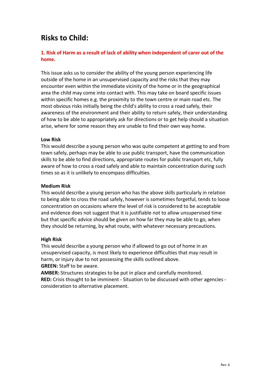# **Risks to Child:**

# **1. Risk of Harm as a result of lack of ability when independent of carer out of the home.**

This issue asks us to consider the ability of the young person experiencing life outside of the home in an unsupervised capacity and the risks that they may encounter even within the immediate vicinity of the home or in the geographical area the child may come into contact with. This may take on board specific issues within specific homes e.g. the proximity to the town centre or main road etc. The most obvious risks initially being the child's ability to cross a road safely, their awareness of the environment and their ability to return safely, their understanding of how to be able to appropriately ask for directions or to get help should a situation arise, where for some reason they are unable to find their own way home.

#### **Low Risk**

This would describe a young person who was quite competent at getting to and from town safely, perhaps may be able to use public transport, have the communication skills to be able to find directions, appropriate routes for public transport etc, fully aware of how to cross a road safely and able to maintain concentration during such times so as it is unlikely to encompass difficulties.

# **Medium Risk**

This would describe a young person who has the above skills particularly in relation to being able to cross the road safely, however is sometimes forgetful, tends to loose concentration on occasions where the level of risk is considered to be acceptable and evidence does not suggest that it is justifiable not to allow unsupervised time but that specific advice should be given on how far they may be able to go, when they should be returning, by what route, with whatever necessary precautions.

#### **High Risk**

This would describe a young person who if allowed to go out of home in an unsupervised capacity, is most likely to experience difficulties that may result in harm, or injury due to not possessing the skills outlined above. **GREEN:** Staff to be aware.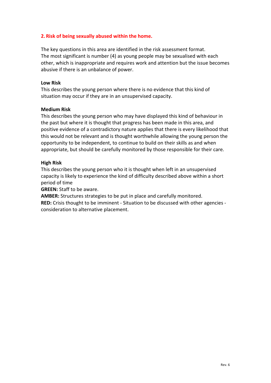# **2. Risk of being sexually abused within the home.**

The key questions in this area are identified in the risk assessment format. The most significant is number (4) as young people may be sexualised with each other, which is inappropriate and requires work and attention but the issue becomes abusive if there is an unbalance of power.

#### **Low Risk**

This describes the young person where there is no evidence that this kind of situation may occur if they are in an unsupervised capacity.

#### **Medium Risk**

This describes the young person who may have displayed this kind of behaviour in the past but where it is thought that progress has been made in this area, and positive evidence of a contradictory nature applies that there is every likelihood that this would not be relevant and is thought worthwhile allowing the young person the opportunity to be independent, to continue to build on their skills as and when appropriate, but should be carefully monitored by those responsible for their care.

#### **High Risk**

This describes the young person who it is thought when left in an unsupervised capacity is likely to experience the kind of difficulty described above within a short period of time

**GREEN:** Staff to be aware.

**AMBER:** Structures strategies to be put in place and carefully monitored.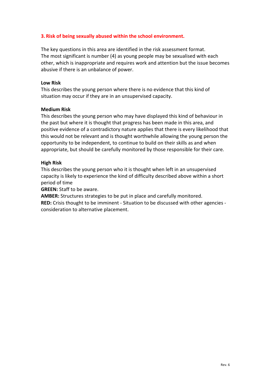# **3. Risk of being sexually abused within the school environment.**

The key questions in this area are identified in the risk assessment format. The most significant is number (4) as young people may be sexualised with each other, which is inappropriate and requires work and attention but the issue becomes abusive if there is an unbalance of power.

#### **Low Risk**

This describes the young person where there is no evidence that this kind of situation may occur if they are in an unsupervised capacity.

#### **Medium Risk**

This describes the young person who may have displayed this kind of behaviour in the past but where it is thought that progress has been made in this area, and positive evidence of a contradictory nature applies that there is every likelihood that this would not be relevant and is thought worthwhile allowing the young person the opportunity to be independent, to continue to build on their skills as and when appropriate, but should be carefully monitored by those responsible for their care.

#### **High Risk**

This describes the young person who it is thought when left in an unsupervised capacity is likely to experience the kind of difficulty described above within a short period of time

**GREEN:** Staff to be aware.

**AMBER:** Structures strategies to be put in place and carefully monitored.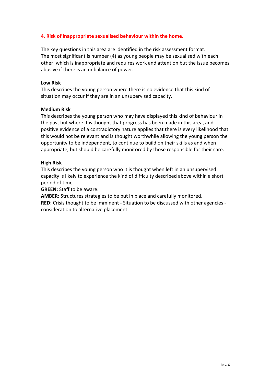# **4. Risk of inappropriate sexualised behaviour within the home.**

The key questions in this area are identified in the risk assessment format. The most significant is number (4) as young people may be sexualised with each other, which is inappropriate and requires work and attention but the issue becomes abusive if there is an unbalance of power.

#### **Low Risk**

This describes the young person where there is no evidence that this kind of situation may occur if they are in an unsupervised capacity.

#### **Medium Risk**

This describes the young person who may have displayed this kind of behaviour in the past but where it is thought that progress has been made in this area, and positive evidence of a contradictory nature applies that there is every likelihood that this would not be relevant and is thought worthwhile allowing the young person the opportunity to be independent, to continue to build on their skills as and when appropriate, but should be carefully monitored by those responsible for their care.

#### **High Risk**

This describes the young person who it is thought when left in an unsupervised capacity is likely to experience the kind of difficulty described above within a short period of time

**GREEN:** Staff to be aware.

**AMBER:** Structures strategies to be put in place and carefully monitored.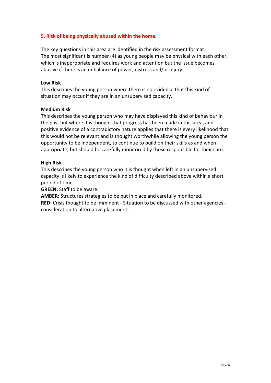# **5**. **Risk of being physically abused within the home.**

The key questions in this area are identified in the risk assessment format. The most significant is number (4) as young people may be physical with each other, which is inappropriate and requires work and attention but the issue becomes abusive if there is an unbalance of power, distress and/or injury.

#### **Low Risk**

This describes the young person where there is no evidence that this kind of situation may occur if they are in an unsupervised capacity.

#### **Medium Risk**

This describes the young person who may have displayed this kind of behaviour in the past but where it is thought that progress has been made in this area, and positive evidence of a contradictory nature applies that there is every likelihood that this would not be relevant and is thought worthwhile allowing the young person the opportunity to be independent, to continue to build on their skills as and when appropriate, but should be carefully monitored by those responsible for their care.

#### **High Risk**

This describes the young person who it is thought when left in an unsupervised capacity is likely to experience the kind of difficulty described above within a short period of time

**GREEN:** Staff to be aware.

**AMBER:** Structures strategies to be put in place and carefully monitored.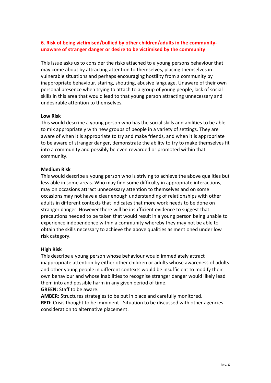# **6. Risk of being victimised/bullied by other children/adults in the communityunaware of stranger danger or desire to be victimised by the community**

This issue asks us to consider the risks attached to a young persons behaviour that may come about by attracting attention to themselves, placing themselves in vulnerable situations and perhaps encouraging hostility from a community by inappropriate behaviour, staring, shouting, abusive language. Unaware of their own personal presence when trying to attach to a group of young people, lack of social skills in this area that would lead to that young person attracting unnecessary and undesirable attention to themselves.

#### **Low Risk**

This would describe a young person who has the social skills and abilities to be able to mix appropriately with new groups of people in a variety of settings. They are aware of when it is appropriate to try and make friends, and when it is appropriate to be aware of stranger danger, demonstrate the ability to try to make themselves fit into a community and possibly be even rewarded or promoted within that community.

#### **Medium Risk**

This would describe a young person who is striving to achieve the above qualities but less able in some areas. Who may find some difficulty in appropriate interactions, may on occasions attract unnecessary attention to themselves and on some occasions may not have a clear enough understanding of relationships with other adults in different contexts that indicates that more work needs to be done on stranger danger. However there will be insufficient evidence to suggest that precautions needed to be taken that would result in a young person being unable to experience independence within a community whereby they may not be able to obtain the skills necessary to achieve the above qualities as mentioned under low risk category.

#### **High Risk**

This describe a young person whose behaviour would immediately attract inappropriate attention by either other children or adults whose awareness of adults and other young people in different contexts would be insufficient to modify their own behaviour and whose inabilities to recognise stranger danger would likely lead them into and possible harm in any given period of time.

**GREEN:** Staff to be aware.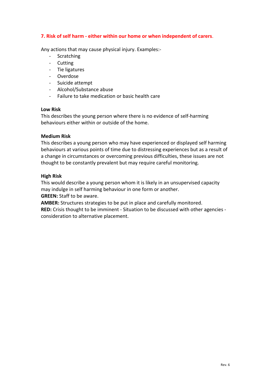# **7. Risk of self harm - either within our home or when independent of carers**.

Any actions that may cause physical injury. Examples:-

- Scratching
- Cutting
- Tie ligatures
- Overdose
- Suicide attempt
- Alcohol/Substance abuse
- Failure to take medication or basic health care

# **Low Risk**

This describes the young person where there is no evidence of self-harming behaviours either within or outside of the home.

# **Medium Risk**

This describes a young person who may have experienced or displayed self harming behaviours at various points of time due to distressing experiences but as a result of a change in circumstances or overcoming previous difficulties, these issues are not thought to be constantly prevalent but may require careful monitoring.

# **High Risk**

This would describe a young person whom it is likely in an unsupervised capacity may indulge in self harming behaviour in one form or another. **GREEN:** Staff to be aware.

**AMBER:** Structures strategies to be put in place and carefully monitored.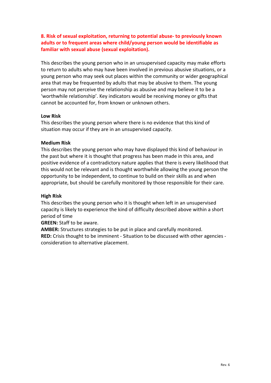**8. Risk of sexual exploitation, returning to potential abuse- to previously known adults or to frequent areas where child/young person would be identifiable as familiar with sexual abuse (sexual exploitation).**

This describes the young person who in an unsupervised capacity may make efforts to return to adults who may have been involved in previous abusive situations, or a young person who may seek out places within the community or wider geographical area that may be frequented by adults that may be abusive to them. The young person may not perceive the relationship as abusive and may believe it to be a 'worthwhile relationship'. Key indicators would be receiving money or gifts that cannot be accounted for, from known or unknown others.

#### **Low Risk**

This describes the young person where there is no evidence that this kind of situation may occur if they are in an unsupervised capacity.

#### **Medium Risk**

This describes the young person who may have displayed this kind of behaviour in the past but where it is thought that progress has been made in this area, and positive evidence of a contradictory nature applies that there is every likelihood that this would not be relevant and is thought worthwhile allowing the young person the opportunity to be independent, to continue to build on their skills as and when appropriate, but should be carefully monitored by those responsible for their care.

#### **High Risk**

This describes the young person who it is thought when left in an unsupervised capacity is likely to experience the kind of difficulty described above within a short period of time

**GREEN:** Staff to be aware.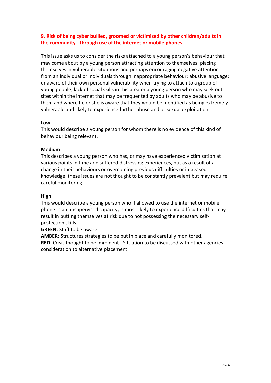# **9. Risk of being cyber bullied, groomed or victimised by other children/adults in the community - through use of the internet or mobile phones**

This issue asks us to consider the risks attached to a young person's behaviour that may come about by a young person attracting attention to themselves; placing themselves in vulnerable situations and perhaps encouraging negative attention from an individual or individuals through inappropriate behaviour; abusive language; unaware of their own personal vulnerability when trying to attach to a group of young people; lack of social skills in this area or a young person who may seek out sites within the internet that may be frequented by adults who may be abusive to them and where he or she is aware that they would be identified as being extremely vulnerable and likely to experience further abuse and or sexual exploitation.

#### **Low**

This would describe a young person for whom there is no evidence of this kind of behaviour being relevant.

#### **Medium**

This describes a young person who has, or may have experienced victimisation at various points in time and suffered distressing experiences, but as a result of a change in their behaviours or overcoming previous difficulties or increased knowledge, these issues are not thought to be constantly prevalent but may require careful monitoring.

#### **High**

This would describe a young person who if allowed to use the internet or mobile phone in an unsupervised capacity, is most likely to experience difficulties that may result in putting themselves at risk due to not possessing the necessary selfprotection skills.

**GREEN:** Staff to be aware.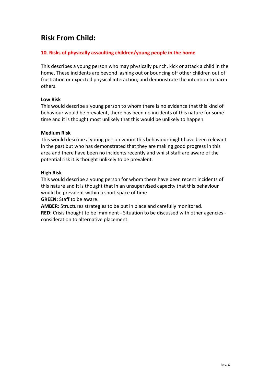# **Risk From Child:**

# **10. Risks of physically assaulting children/young people in the home**

This describes a young person who may physically punch, kick or attack a child in the home. These incidents are beyond lashing out or bouncing off other children out of frustration or expected physical interaction; and demonstrate the intention to harm others.

# **Low Risk**

This would describe a young person to whom there is no evidence that this kind of behaviour would be prevalent, there has been no incidents of this nature for some time and it is thought most unlikely that this would be unlikely to happen.

# **Medium Risk**

This would describe a young person whom this behaviour might have been relevant in the past but who has demonstrated that they are making good progress in this area and there have been no incidents recently and whilst staff are aware of the potential risk it is thought unlikely to be prevalent.

# **High Risk**

This would describe a young person for whom there have been recent incidents of this nature and it is thought that in an unsupervised capacity that this behaviour would be prevalent within a short space of time

**GREEN:** Staff to be aware.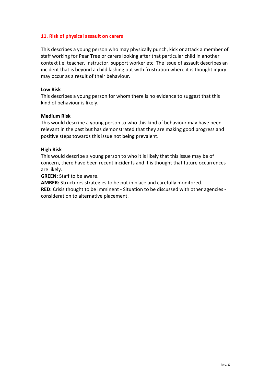# **11. Risk of physical assault on carers**

This describes a young person who may physically punch, kick or attack a member of staff working for Pear Tree or carers looking after that particular child in another context i.e. teacher, instructor, support worker etc. The issue of assault describes an incident that is beyond a child lashing out with frustration where it is thought injury may occur as a result of their behaviour.

#### **Low Risk**

This describes a young person for whom there is no evidence to suggest that this kind of behaviour is likely.

#### **Medium Risk**

This would describe a young person to who this kind of behaviour may have been relevant in the past but has demonstrated that they are making good progress and positive steps towards this issue not being prevalent.

#### **High Risk**

This would describe a young person to who it is likely that this issue may be of concern, there have been recent incidents and it is thought that future occurrences are likely.

**GREEN:** Staff to be aware.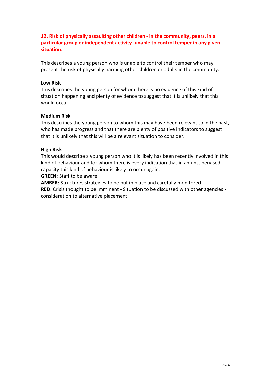**12. Risk of physically assaulting other children - in the community, peers, in a particular group or independent activity- unable to control temper in any given situation.**

This describes a young person who is unable to control their temper who may present the risk of physically harming other children or adults in the community.

#### **Low Risk**

This describes the young person for whom there is no evidence of this kind of situation happening and plenty of evidence to suggest that it is unlikely that this would occur

#### **Medium Risk**

This describes the young person to whom this may have been relevant to in the past, who has made progress and that there are plenty of positive indicators to suggest that it is unlikely that this will be a relevant situation to consider.

#### **High Risk**

This would describe a young person who it is likely has been recently involved in this kind of behaviour and for whom there is every indication that in an unsupervised capacity this kind of behaviour is likely to occur again.

**GREEN:** Staff to be aware.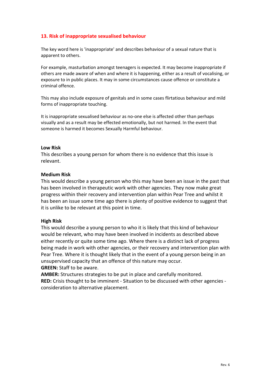# **13. Risk of inappropriate sexualised behaviour**

The key word here is 'inappropriate' and describes behaviour of a sexual nature that is apparent to others.

For example, masturbation amongst teenagers is expected. It may become inappropriate if others are made aware of when and where it is happening, either as a result of vocalising, or exposure to in public places. It may in some circumstances cause offence or constitute a criminal offence.

This may also include exposure of genitals and in some cases flirtatious behaviour and mild forms of inappropriate touching.

It is inappropriate sexualised behaviour as no-one else is affected other than perhaps visually and as a result may be effected emotionally, but not harmed. In the event that someone is harmed it becomes Sexually Harmful behaviour.

#### **Low Risk**

This describes a young person for whom there is no evidence that this issue is relevant.

#### **Medium Risk**

This would describe a young person who this may have been an issue in the past that has been involved in therapeutic work with other agencies. They now make great progress within their recovery and intervention plan within Pear Tree and whilst it has been an issue some time ago there is plenty of positive evidence to suggest that it is unlike to be relevant at this point in time.

#### **High Risk**

This would describe a young person to who it is likely that this kind of behaviour would be relevant, who may have been involved in incidents as described above either recently or quite some time ago. Where there is a distinct lack of progress being made in work with other agencies, or their recovery and intervention plan with Pear Tree. Where it is thought likely that in the event of a young person being in an unsupervised capacity that an offence of this nature may occur. **GREEN:** Staff to be aware.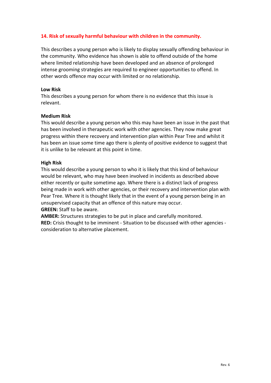# **14. Risk of sexually harmful behaviour with children in the community.**

This describes a young person who is likely to display sexually offending behaviour in the community. Who evidence has shown is able to offend outside of the home where limited relationship have been developed and an absence of prolonged intense grooming strategies are required to engineer opportunities to offend. In other words offence may occur with limited or no relationship.

#### **Low Risk**

This describes a young person for whom there is no evidence that this issue is relevant.

#### **Medium Risk**

This would describe a young person who this may have been an issue in the past that has been involved in therapeutic work with other agencies. They now make great progress within there recovery and intervention plan within Pear Tree and whilst it has been an issue some time ago there is plenty of positive evidence to suggest that it is unlike to be relevant at this point in time.

#### **High Risk**

This would describe a young person to who it is likely that this kind of behaviour would be relevant, who may have been involved in incidents as described above either recently or quite sometime ago. Where there is a distinct lack of progress being made in work with other agencies, or their recovery and intervention plan with Pear Tree. Where it is thought likely that in the event of a young person being in an unsupervised capacity that an offence of this nature may occur. **GREEN:** Staff to be aware.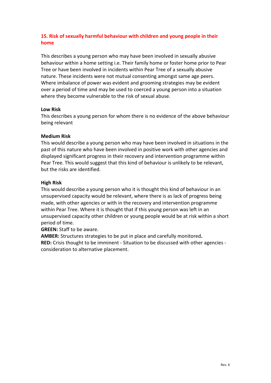# **15. Risk of sexually harmful behaviour with children and young people in their home**

This describes a young person who may have been involved in sexually abusive behaviour within a home setting i.e. Their family home or foster home prior to Pear Tree or have been involved in incidents within Pear Tree of a sexually abusive nature. These incidents were not mutual consenting amongst same age peers. Where imbalance of power was evident and grooming strategies may be evident over a period of time and may be used to coerced a young person into a situation where they become vulnerable to the risk of sexual abuse.

#### **Low Risk**

This describes a young person for whom there is no evidence of the above behaviour being relevant

# **Medium Risk**

This would describe a young person who may have been involved in situations in the past of this nature who have been involved in positive work with other agencies and displayed significant progress in their recovery and intervention programme within Pear Tree. This would suggest that this kind of behaviour is unlikely to be relevant, but the risks are identified.

# **High Risk**

This would describe a young person who it is thought this kind of behaviour in an unsupervised capacity would be relevant, where there is as lack of progress being made, with other agencies or with in the recovery and intervention programme within Pear Tree. Where it is thought that if this young person was left in an unsupervised capacity other children or young people would be at risk within a short period of time.

**GREEN:** Staff to be aware.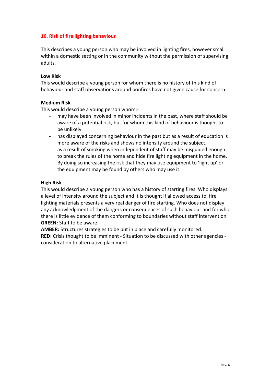# **16. Risk of fire lighting behaviour**

This describes a young person who may be involved in lighting fires, however small within a domestic setting or in the community without the permission of supervising adults.

#### **Low Risk**

This would describe a young person for whom there is no history of this kind of behaviour and staff observations around bonfires have not given cause for concern.

# **Medium Risk**

This would describe a young person whom:-

- may have been involved in minor incidents in the past, where staff should be aware of a potential risk, but for whom this kind of behaviour is thought to be unlikely.
- has displayed concerning behaviour in the past but as a result of education is more aware of the risks and shows no intensity around the subject.
- as a result of smoking when independent of staff may be misguided enough to break the rules of the home and hide fire lighting equipment in the home. By doing so increasing the risk that they may use equipment to 'light up' or the equipment may be found by others who may use it.

#### **High Risk**

This would describe a young person who has a history of starting fires. Who displays a level of intensity around the subject and it is thought if allowed access to, fire lighting materials presents a very real danger of fire starting. Who does not display any acknowledgment of the dangers or consequences of such behaviour and for who there is little evidence of them conforming to boundaries without staff intervention. **GREEN:** Staff to be aware.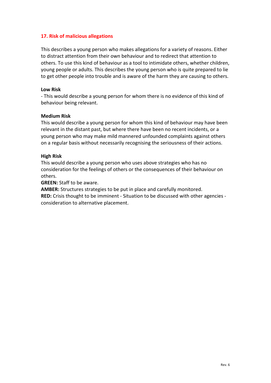# **17. Risk of malicious allegations**

This describes a young person who makes allegations for a variety of reasons. Either to distract attention from their own behaviour and to redirect that attention to others. To use this kind of behaviour as a tool to intimidate others, whether children, young people or adults. This describes the young person who is quite prepared to lie to get other people into trouble and is aware of the harm they are causing to others.

#### **Low Risk**

- This would describe a young person for whom there is no evidence of this kind of behaviour being relevant.

#### **Medium Risk**

This would describe a young person for whom this kind of behaviour may have been relevant in the distant past, but where there have been no recent incidents, or a young person who may make mild mannered unfounded complaints against others on a regular basis without necessarily recognising the seriousness of their actions.

#### **High Risk**

This would describe a young person who uses above strategies who has no consideration for the feelings of others or the consequences of their behaviour on others.

**GREEN:** Staff to be aware.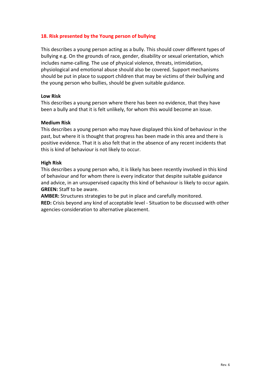# **18. Risk presented by the Young person of bullying**

This describes a young person acting as a bully. This should cover different types of bullying e.g. On the grounds of race, gender, disability or sexual orientation, which includes name-calling. The use of physical violence, threats, intimidation, physiological and emotional abuse should also be covered. Support mechanisms should be put in place to support children that may be victims of their bullying and the young person who bullies, should be given suitable guidance.

#### **Low Risk**

This describes a young person where there has been no evidence, that they have been a bully and that it is felt unlikely, for whom this would become an issue.

#### **Medium Risk**

This describes a young person who may have displayed this kind of behaviour in the past, but where it is thought that progress has been made in this area and there is positive evidence. That it is also felt that in the absence of any recent incidents that this is kind of behaviour is not likely to occur.

#### **High Risk**

This describes a young person who, it is likely has been recently involved in this kind of behaviour and for whom there is every indicator that despite suitable guidance and advice, in an unsupervised capacity this kind of behaviour is likely to occur again. **GREEN:** Staff to be aware.

**AMBER:** Structures strategies to be put in place and carefully monitored.

**RED:** Crisis beyond any kind of acceptable level - Situation to be discussed with other agencies-consideration to alternative placement.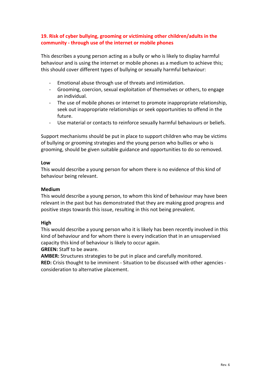# **19. Risk of cyber bullying, grooming or victimising other children/adults in the community - through use of the internet or mobile phones**

This describes a young person acting as a bully or who is likely to display harmful behaviour and is using the internet or mobile phones as a medium to achieve this; this should cover different types of bullying or sexually harmful behaviour:

- Emotional abuse through use of threats and intimidation.
- Grooming, coercion, sexual exploitation of themselves or others, to engage an individual.
- The use of mobile phones or internet to promote inappropriate relationship, seek out inappropriate relationships or seek opportunities to offend in the future.
- Use material or contacts to reinforce sexually harmful behaviours or beliefs.

Support mechanisms should be put in place to support children who may be victims of bullying or grooming strategies and the young person who bullies or who is grooming, should be given suitable guidance and opportunities to do so removed.

#### **Low**

This would describe a young person for whom there is no evidence of this kind of behaviour being relevant.

# **Medium**

This would describe a young person, to whom this kind of behaviour may have been relevant in the past but has demonstrated that they are making good progress and positive steps towards this issue, resulting in this not being prevalent.

# **High**

This would describe a young person who it is likely has been recently involved in this kind of behaviour and for whom there is every indication that in an unsupervised capacity this kind of behaviour is likely to occur again.

**GREEN:** Staff to be aware.

**AMBER:** Structures strategies to be put in place and carefully monitored.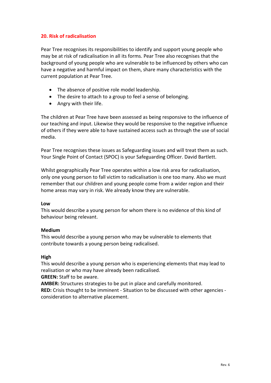# **20. Risk of radicalisation**

Pear Tree recognises its responsibilities to identify and support young people who may be at risk of radicalisation in all its forms. Pear Tree also recognises that the background of young people who are vulnerable to be influenced by others who can have a negative and harmful impact on them, share many characteristics with the current population at Pear Tree.

- The absence of positive role model leadership.
- The desire to attach to a group to feel a sense of belonging.
- Angry with their life.

The children at Pear Tree have been assessed as being responsive to the influence of our teaching and input. Likewise they would be responsive to the negative influence of others if they were able to have sustained access such as through the use of social media.

Pear Tree recognises these issues as Safeguarding issues and will treat them as such. Your Single Point of Contact (SPOC) is your Safeguarding Officer. David Bartlett.

Whilst geographically Pear Tree operates within a low risk area for radicalisation, only one young person to fall victim to radicalisation is one too many. Also we must remember that our children and young people come from a wider region and their home areas may vary in risk. We already know they are vulnerable.

#### **Low**

This would describe a young person for whom there is no evidence of this kind of behaviour being relevant.

#### **Medium**

This would describe a young person who may be vulnerable to elements that contribute towards a young person being radicalised.

#### **High**

This would describe a young person who is experiencing elements that may lead to realisation or who may have already been radicalised.

**GREEN:** Staff to be aware.

**AMBER:** Structures strategies to be put in place and carefully monitored.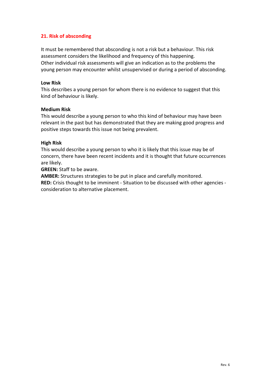# **21. Risk of absconding**

It must be remembered that absconding is not a risk but a behaviour. This risk assessment considers the likelihood and frequency of this happening. Other individual risk assessments will give an indication as to the problems the young person may encounter whilst unsupervised or during a period of absconding.

#### **Low Risk**

This describes a young person for whom there is no evidence to suggest that this kind of behaviour is likely.

#### **Medium Risk**

This would describe a young person to who this kind of behaviour may have been relevant in the past but has demonstrated that they are making good progress and positive steps towards this issue not being prevalent.

#### **High Risk**

This would describe a young person to who it is likely that this issue may be of concern, there have been recent incidents and it is thought that future occurrences are likely.

**GREEN:** Staff to be aware.